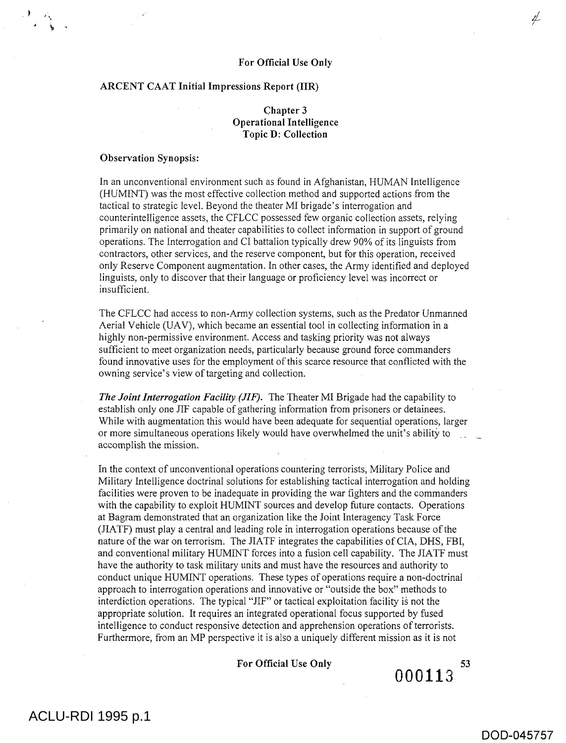### For Official Use Only

### ARCENT CAAT Initial Impressions Report (IIR)

# Chapter 3 Operational Intelligence Topic D: Collection

#### Observation Synopsis:

In an unconventional environment such as found in Afghanistan, HUMAN Intelligence (HUMINT) was the most effective collection method and supported actions from the tactical to strategic level. Beyond the theater MI brigade's interrogation and counterintelligence assets, the CFLCC possessed few organic collection assets, relying primarily on national and theater capabilities to collect information in support of ground operations. The Interrogation and CI battalion typically drew 90% of its linguists from contractors, other services, and the reserve component, but for this operation, received only Reserve Component augmentation. In other cases, the Army identified and deployed linguists, only to discover that their language or proficiency level was incorrect or insufficient.

The CFLCC had access to non-Army collection systems, such as the Predator Unmanned Aerial Vehicle (UAV), which became an essential tool in collecting information in a highly non-permissive environment. Access and tasking priority was not always sufficient to meet organization needs, particularly because ground force commanders found innovative uses for the employment of this scarce resource that conflicted with the owning service's view of targeting and collection.

*The Joint Interrogation Facility (JIF).* The Theater MI Brigade had the capability to establish only one JIF capable of gathering information from prisoners or detainees. While with augmentation this would have been adequate for sequential operations, larger or more simultaneous operations likely would have overwhelmed the unit's ability to \_ accomplish the mission.

In the context of unconventional operations countering terrorists, Military Police and Military Intelligence doctrinal solutions for establishing tactical interrogation and holding facilities were proven to be inadequate in providing the war fighters and the commanders with the capability to exploit HUMINT sources and develop future contacts. Operations at Bagram demonstrated that an organization like the Joint Interagency Task Force (JIATF) must play a central and leading role in interrogation operations because of the nature of the war on terrorism. The JIATF integrates the capabilities of CIA, DHS, FBI, and conventional military HUMINT forces into a fusion cell capability. The JIATF must have the authority to task military units and must have the resources and authority to conduct unique HUMINT operations. These types of operations require a non-doctrinal approach to interrogation operations and innovative or "outside the box" methods to interdiction operations. The typical "JIF" or tactical exploitation facility is not the appropriate solution. It requires an integrated operational focus supported by fused intelligence to conduct responsive detection and apprehension operations of terrorists. Furthermore, from an MP perspective it is also a uniquely different mission as it is not

### For Official Use Only

DOD-045757

4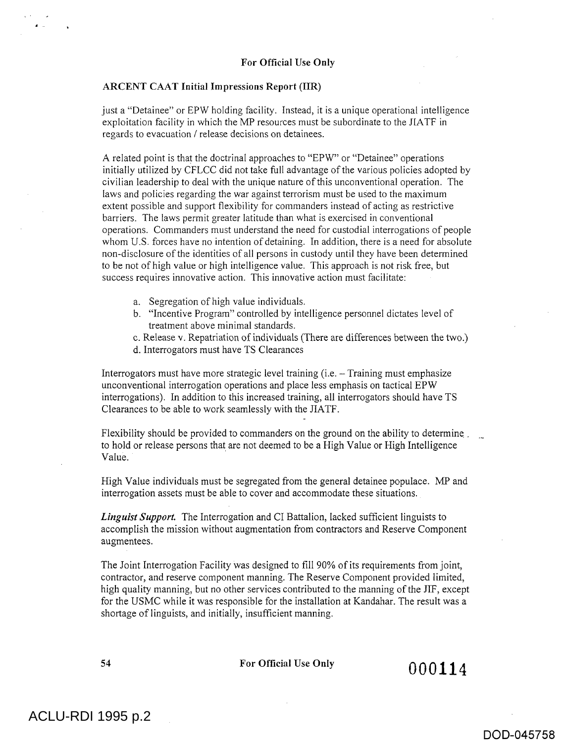just a "Detainee" or EPW holding facility. Instead, it is a unique operational intelligence exploitation facility in which the MP resources must be subordinate to the JIATF in regards to evacuation / release decisions on detainees.

A related point is that the doctrinal approaches to "EPW" or "Detainee" operations initially utilized by CFLCC did not take full advantage of the various policies adopted by civilian leadership to deal with the unique nature of this unconventional operation. The laws and policies regarding the war against terrorism must be used to the maximum extent possible and support flexibility for commanders instead of acting as restrictive barriers. The laws permit greater latitude than what is exercised in conventional operations. Commanders must understand the need for custodial interrogations of people whom U.S. forces have no intention of detaining. In addition, there is a need for absolute non-disclosure of the identities of all persons in custody until they have been determined to be not of high value or high intelligence value. This approach is not risk free, but success requires innovative action. This innovative action must facilitate:

- a. Segregation of high value individuals.
- b. "Incentive Program" controlled by intelligence personnel dictates level of treatment above minimal standards.
- c. Release v. Repatriation of individuals (There are differences between the two.)
- d. Interrogators must have TS Clearances

Interrogators must have more strategic level training (i.e. — Training must emphasize unconventional interrogation operations and place less emphasis on tactical EPW interrogations). In addition to this increased training, **all** interrogators should have TS Clearances to be able to work seamlessly with the JIATF.

Flexibility should be provided to commanders on the ground on the ability to determine \_ to hold or release persons that are not deemed to be a High Value or High Intelligence Value.

High Value individuals must be segregated from the general detainee populace. MP and interrogation assets must **be able** to cover and accommodate these situations.

*Linguist Support.* The Interrogation **and** CI Battalion, lacked sufficient linguists to accomplish the mission without augmentation from contractors and Reserve Component augmentees.

The Joint Interrogation Facility was designed to fill 90% of its requirements from joint, contractor, **and** reserve component manning. **The** Reserve Component provided limited, high quality manning, but no other services contributed to the manning of **the JIF,** except **for the USMC while it was responsible for the installation at Kandahar. The result was a shortage of linguists, and initially, insufficient manning.** 

 $54$  For Official Use Only  $000114$ 

# DOD-045758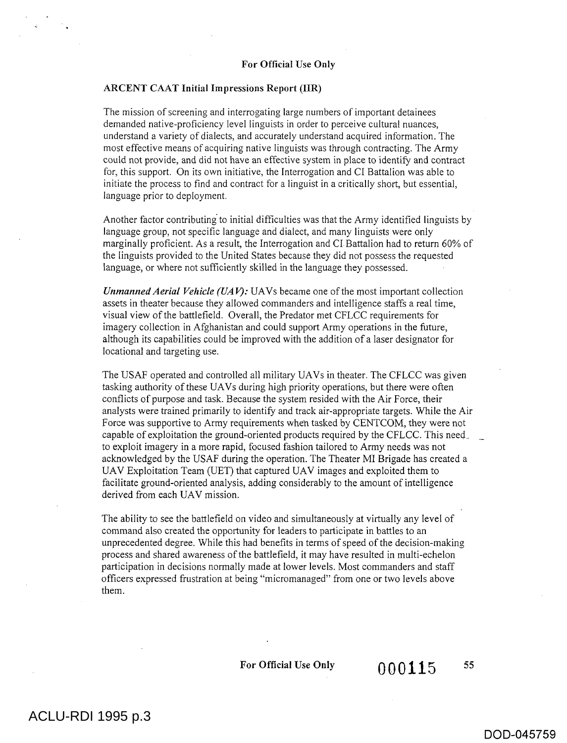The mission of screening and interrogating large numbers of important detainees demanded native-proficiency level linguists in order to perceive cultural nuances, understand a variety of dialects, and accurately understand acquired information. The most effective means of acquiring native linguists was through contracting. The Army could not provide, and did not have an effective system in place to identify and contract for, this support. On its own initiative, the Interrogation and CI Battalion was able to initiate the process to find and contract for a linguist in a critically short, but essential, language prior to deployment.

Another factor contributing to initial difficulties was that the Army identified linguists by language group, not specific language and dialect, and many linguists were only marginally proficient. As a result, the Interrogation and CI Battalion had to return 60% of the linguists provided to the United States because they did not possess the requested language, or where not sufficiently skilled in the language they possessed.

*Unmanned Aerial Vehicle (UAV)*: UAVs became one of the most important collection assets in theater because they allowed commanders and intelligence staffs a real time, visual view of the battlefield. Overall, the Predator met CFLCC requirements for imagery collection in Afghanistan and could support Army operations in the future, although its capabilities could be improved with the addition of a laser designator for locational and targeting use.

The USAF operated and controlled all military UAVs in theater. The CFLCC was given tasking authority of these UAVs during high priority operations, but there were often conflicts of purpose and task. Because the system resided with the Air Force, their analysts were trained primarily to identify and track air-appropriate targets. While the Air Force was supportive to Army requirements when tasked by CENTCOM, they were not capable of exploitation the ground-oriented products required by the CFLCC. This need, to exploit imagery in a more rapid, focused fashion tailored to Army needs was not acknowledged by the USAF during the operation. The Theater MI Brigade has created a UAV Exploitation Team (UET) that captured UAV images and exploited them to facilitate ground-oriented analysis, adding considerably to the amount of intelligence derived from each UAV mission.

The ability to see the battlefield on video and simultaneously at virtually any level of command also created the opportunity for leaders to participate in battles to an unprecedented degree. While this had benefits in terms of speed of the decision-making process and shared awareness of the battlefield, it may have resulted in multi-echelon participation in decisions normally made at lower levels. Most commanders and staff officers expressed frustration at being "micromanaged" from one or two levels above them.

For Official Use Only  $0.00115$  55

DOD-045759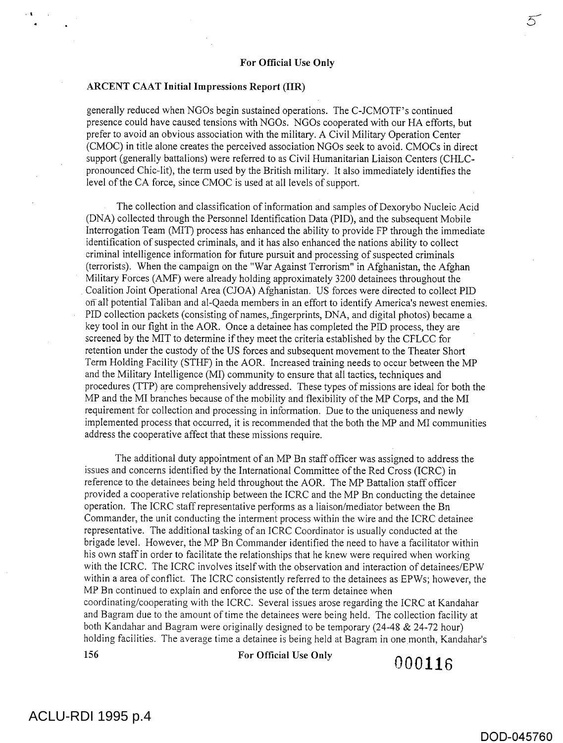$\frac{1}{2}$   $\frac{1}{2}$   $\frac{1}{2}$   $\frac{1}{2}$   $\frac{1}{2}$   $\frac{1}{2}$   $\frac{1}{2}$   $\frac{1}{2}$   $\frac{1}{2}$   $\frac{1}{2}$   $\frac{1}{2}$   $\frac{1}{2}$   $\frac{1}{2}$   $\frac{1}{2}$   $\frac{1}{2}$   $\frac{1}{2}$   $\frac{1}{2}$   $\frac{1}{2}$   $\frac{1}{2}$   $\frac{1}{2}$   $\frac{1}{2}$   $\frac{1}{2}$ 

### ARCENT CAAT Initial Impressions Report (IIR)

generally reduced when NGOs begin sustained operations. The C-JCMOTF's continued presence could have caused tensions with NGOs. NGOs cooperated with our HA efforts, but prefer to avoid an obvious association with the military. A Civil Military Operation Center (CMOC) in title alone creates the perceived association NGOs seek to avoid. CMOCs in direct support (generally battalions) were referred to as Civil Humanitarian Liaison Centers (CHLCpronounced Chic-lit), the term used by the British military. It also immediately identifies the level of the CA force, since CMOC is used at all levels of support.

The collection and classification of information and samples of Dexorybo Nucleic Acid (DNA) collected through the Personnel Identification Data (PID), and the subsequent Mobile Interrogation Team (MIT) process has enhanced the ability to provide FP through the immediate identification of suspected criminals, and it has also enhanced the nations ability to collect criminal intelligence information for future pursuit and processing of suspected criminals (terrorists). When the campaign on the "War Against Terrorism" in Afghanistan, the Afghan Military Forces (AMF) were already holding approximately 3200 detainees throughout the Coalition Joint Operational Area (CJOA) Afghanistan. US forces were directed to collect PID on all potential Taliban and al-Qaeda members in an effort to identify America's newest enemies. PID collection packets (consisting of names, fingerprints, DNA, and digital photos) became a key tool in our fight in the AOR. Once a detainee has completed the PID process, they are screened by the MIT to determine if they meet the criteria established by the CFLCC for retention under the custody of the US forces and subsequent movement to the Theater Short Term Holding Facility (STHF) in the AOR. Increased training needs to occur between the MP and the Military Intelligence (MI) community to ensure that all tactics, techniques and procedures (TIP) are comprehensively addressed. These types of missions are ideal for both the MP and the MI branches because of the mobility and flexibility of the MP Corps, and the MI requirement for collection and processing in information. Due to the uniqueness and newly implemented process that occurred, it is recommended that the both the MP and MI communities address the cooperative affect that these missions require.

The additional duty appointment of an MP Bn staff officer was assigned to address the issues and concerns identified by the International Committee of the Red Cross (ICRC) in reference to the detainees being held throughout the AOR. The MP Battalion staff officer provided a cooperative relationship between the ICRC and the MP Bn conducting the detainee operation. The ICRC staff representative performs as a liaison/mediator between the Bn Commander, the unit conducting the interment process within the wire and the ICRC detainee representative. The additional tasking of an ICRC Coordinator is usually conducted at the brigade level. However, the MP Bn Commander identified the need to have a facilitator within his own staff in order to facilitate the relationships that he knew were required when working with the ICRC. The ICRC involves itself with the observation and interaction of detainees/EPW within a area of conflict. The ICRC consistently referred to the detainees as EPWs; however, the MP Bn continued to explain and enforce the use of the term detainee when coordinating/cooperating with the ICRC. Several issues arose regarding the ICRC at Kandahar and Bagram due to the amount of time the detainees were being held. The collection facility at both Kandahar and Bagram were originally designed to be temporary (24-48 & 24-72 hour) holding facilities. The average time a detainee is being held at Bagram in one month, Kandahar's

156 For Official Use Only 000116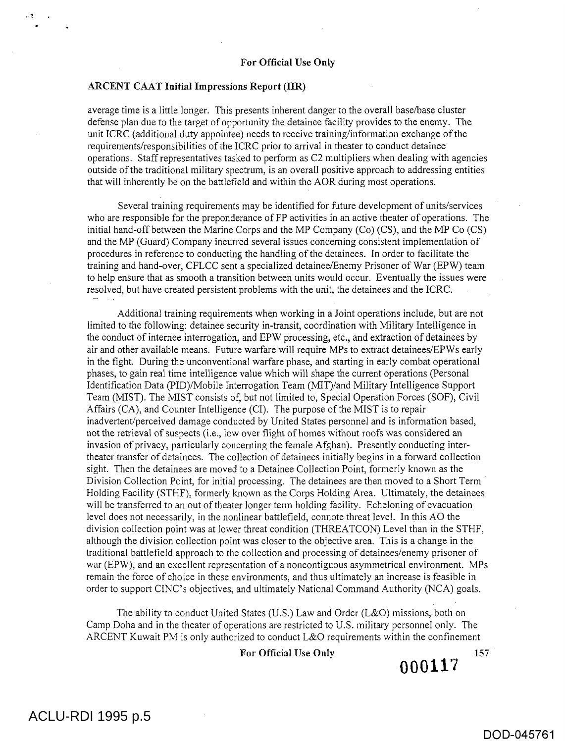average time is a little longer. This presents inherent danger to the overall base/base cluster defense plan due to the target of opportunity the detainee facility provides to the enemy. The unit ICRC (additional duty appointee) needs to receive training/information exchange of the requirements/responsibilities of the ICRC prior to arrival in theater to conduct detainee operations. Staff representatives tasked to perform as C2 multipliers when dealing with agencies outside of the traditional military spectrum, is an overall positive approach to addressing entities that will inherently be on the battlefield and within the AOR during most operations.

Several training requirements may be identified for future development of units/services who are responsible for the preponderance of FP activities in an active theater of operations. The initial hand-off between the Marine Corps and the MP Company (Co) (CS), and the MP Co (CS) and the MP (Guard) Company incurred several issues concerning consistent implementation of procedures in reference to conducting the handling of the detainees. In order to facilitate the training and hand-over, CFLCC sent a specialized detainee/Enemy Prisoner of War (EPW) team to help ensure that as smooth a transition between units would occur. Eventually the issues were resolved, but have created persistent problems with the unit, the detainees and the ICRC.

Additional training requirements when working in a Joint operations include, but are not limited to the following: detainee security in-transit, coordination with Military Intelligence in the conduct of internee interrogation, and EPW processing, etc., and extraction of detainees by air and other available means. Future warfare will require MPs to extract detainees/EPWs early in the fight. During the unconventional warfare phase, and starting in early combat operational phases, to gain real time intelligence value which will shape the current operations (Personal Identification Data (PID)/Mobile Interrogation Team (MIT)/and Military Intelligence Support Team (MIST). The MIST consists of, but not limited to, Special Operation Forces (SOF), Civil Affairs (CA), and Counter Intelligence (CI). The purpose of the MIST is to repair inadvertent/perceived damage conducted by United States personnel and is information based, not the retrieval of suspects (i.e., low over flight of homes without roofs was considered an invasion of privacy, particularly concerning the female Afghan). Presently conducting intertheater transfer of detainees. The collection of detainees initially begins in a forward collection sight. Then the detainees are moved to a Detainee Collection Point, formerly known as the Division Collection Point, for initial processing. The detainees are then moved to a Short Term Holding Facility (STHF), formerly known as the Corps Holding Area. Ultimately, the detainees will be transferred to an out of theater longer term holding facility. Echeloning of evacuation level does not necessarily, in the nonlinear battlefield, connote threat level. In this AO the division collection point was at lower threat condition (THREATCON) Level than in the STHF, although the division collection point was closer to the objective area. This is a change in the traditional battlefield approach to the collection and processing of detainees/enemy prisoner of war (EPW), and an excellent representation of a noncontiguous asymmetrical environment. MPs remain the force of choice in these environments, and thus ultimately an increase is feasible in order to support CINC's objectives, and ultimately National Command Authority (NCA) goals.

The ability to conduct United States (U.S.) Law and Order (L&O) missions, both on Camp Doha and in the theater of operations are restricted to U.S. military personnel only. The ARCENT Kuwait PM is only authorized to conduct L&O requirements within the confinement

For Official Use Only

# **000117**

157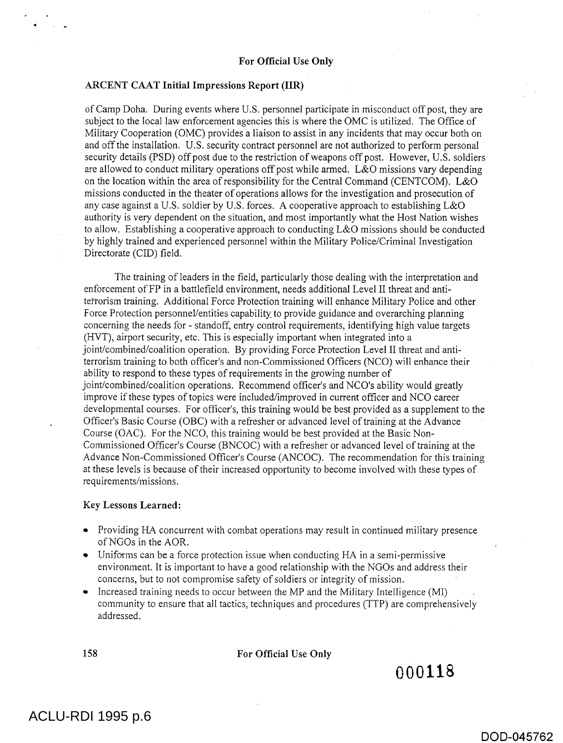of Camp Doha. During events where U.S. personnel participate in misconduct off post, they are subject to the local law enforcement agencies this is where the OMC is utilized. The Office of Military Cooperation (OMC) provides a liaison to assist in any incidents that may occur both on and off the installation. U.S. security contract personnel are not authorized to perform personal security details (PSD) off post due to the restriction of weapons off post. However, U.S. soldiers are allowed to conduct military operations off post while armed. L&O missions vary depending on the location within the area of responsibility for the Central Command (CENTCOM). L&O missions conducted in the theater of operations allows for the investigation and prosecution of any case against a U.S. soldier by U.S. forces. A cooperative approach to establishing L&O authority is very dependent on the situation, and most importantly what the Host Nation wishes to allow. Establishing a cooperative approach to conducting L&O missions should be conducted by highly trained and experienced personnel within the Military Police/Criminal Investigation Directorate (CID) field.

The training of leaders in the field, particularly those dealing with the interpretation and enforcement of FP in a battlefield environment, needs additional Level II threat and antiterrorism training. Additional Force Protection training will enhance Military Police and other Force Protection personnel/entities capability to provide guidance and overarching planning concerning the needs for - standoff, entry control requirements, identifying high value targets (HVT), airport security, etc. This is especially important when integrated into a joint/combined/coalition operation. By providing Force Protection Level II threat and antiterrorism training to both officer's and non-Commissioned Officers (NCO) will enhance their ability to respond to these types of requirements in the growing number of joint/combined/coalition operations. Recommend officer's and NCO's ability would greatly improve if these types of topics were included/improved in current officer and NCO career developmental courses. For officer's, this training would be best provided as a supplement to the Officer's Basic Course (OBC) with a refresher or advanced level of training at the Advance Course (OAC). For the NCO, this training would be best provided at the Basic Non-Commissioned Officer's Course (BNCOC) with a refresher or advanced level of training at the Advance Non-Commissioned Officer's Course (ANCOC). The recommendation for this training at these levels is because of their increased opportunity to become involved with these types of requirements/missions.

### Key Lessons Learned:

- Providing HA concurrent with combat operations may result in continued military presence of NGOs in the AOR.
- Uniforms can be a force protection issue when conducting HA in a semi-permissive environment. It is important to have a good relationship with the NGOs and address their concerns, but to not compromise safety of soldiers or integrity of mission.
- Increased training needs to occur between the MP and the Military Intelligence (MI) community to ensure that all tactics, techniques and procedures (TTP) are comprehensively addressed.

158 **For Official Use Only** 

**000118** 

# ACLU-RDI 1995 p.6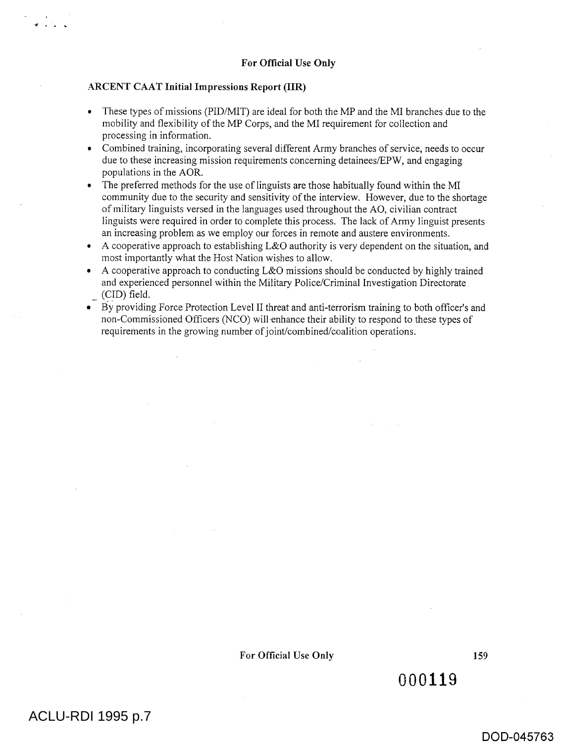- These types of missions (PID/MIT) are ideal for both the MP and the MI branches due to the mobility and flexibility of the MP Corps, and the MI requirement for collection and processing in information.
- Combined training, incorporating several different Army branches of service, needs to occur due to these increasing mission requirements concerning detainees/EPW, and engaging populations in the AOR.
- The preferred methods for the use of linguists are those habitually found within the MI community due to the security and sensitivity of the interview. However, due to the shortage of military linguists versed in the languages used throughout the AO, civilian contract linguists were required in order to complete this process. The lack of Army linguist presents an increasing problem as we employ our forces in remote and austere environments.
- A cooperative approach to establishing L&O authority is very dependent on the situation, and most importantly what the Host Nation wishes to allow.
- A cooperative approach to conducting L&O missions should be conducted by highly trained and experienced personnel within the Military Police/Criminal Investigation Directorate (CID) field.
- By providing Force Protection Level II threat and anti-terrorism training to both officer's and non-Commissioned Officers (NCO) will-enhance their ability to respond to these types of requirements in the growing number of joint/combined/coalition operations.

000119